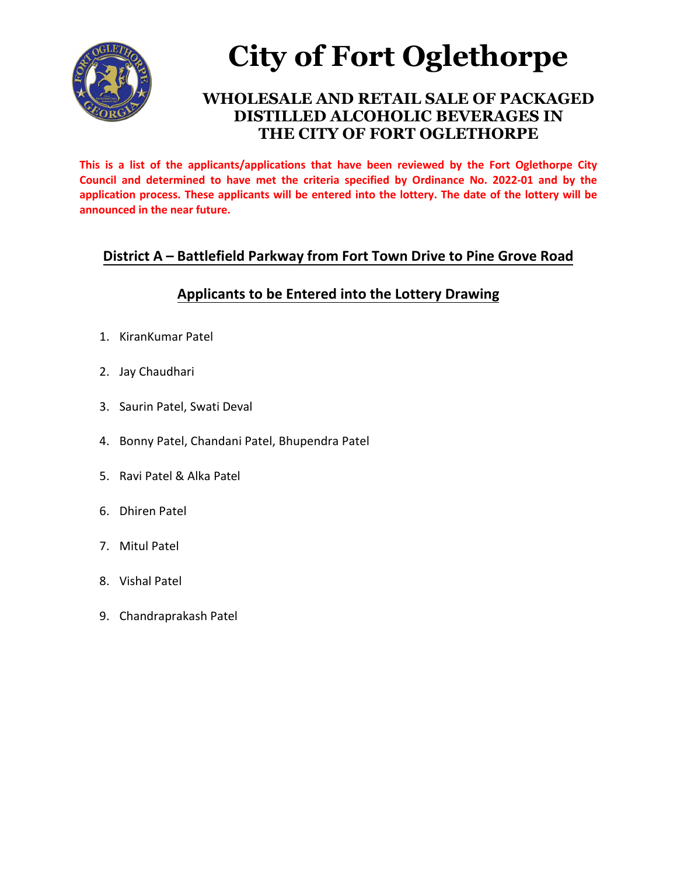

# **City of Fort Oglethorpe**

#### **WHOLESALE AND RETAIL SALE OF PACKAGED DISTILLED ALCOHOLIC BEVERAGES IN THE CITY OF FORT OGLETHORPE**

**This is a list of the applicants/applications that have been reviewed by the Fort Oglethorpe City Council and determined to have met the criteria specified by Ordinance No. 2022-01 and by the application process. These applicants will be entered into the lottery. The date of the lottery will be announced in the near future.** 

#### **District A – Battlefield Parkway from Fort Town Drive to Pine Grove Road**

### **Applicants to be Entered into the Lottery Drawing**

- 1. KiranKumar Patel
- 2. Jay Chaudhari
- 3. Saurin Patel, Swati Deval
- 4. Bonny Patel, Chandani Patel, Bhupendra Patel
- 5. Ravi Patel & Alka Patel
- 6. Dhiren Patel
- 7. Mitul Patel
- 8. Vishal Patel
- 9. Chandraprakash Patel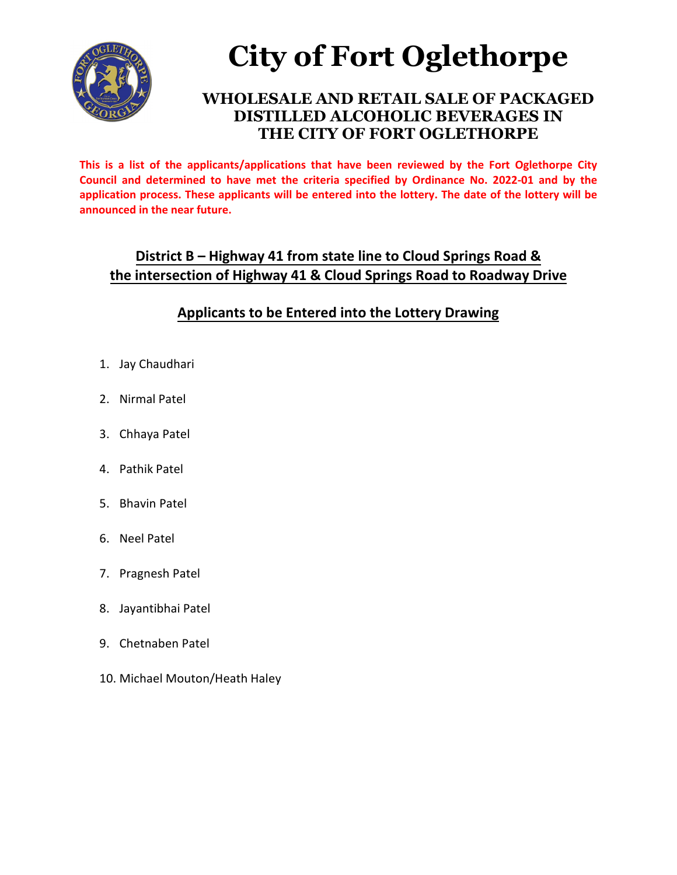

# **City of Fort Oglethorpe**

### **WHOLESALE AND RETAIL SALE OF PACKAGED DISTILLED ALCOHOLIC BEVERAGES IN THE CITY OF FORT OGLETHORPE**

**This is a list of the applicants/applications that have been reviewed by the Fort Oglethorpe City Council and determined to have met the criteria specified by Ordinance No. 2022-01 and by the application process. These applicants will be entered into the lottery. The date of the lottery will be announced in the near future.** 

#### **District B – Highway 41 from state line to Cloud Springs Road & the intersection of Highway 41 & Cloud Springs Road to Roadway Drive**

### **Applicants to be Entered into the Lottery Drawing**

- 1. Jay Chaudhari
- 2. Nirmal Patel
- 3. Chhaya Patel
- 4. Pathik Patel
- 5. Bhavin Patel
- 6. Neel Patel
- 7. Pragnesh Patel
- 8. Jayantibhai Patel
- 9. Chetnaben Patel
- 10. Michael Mouton/Heath Haley